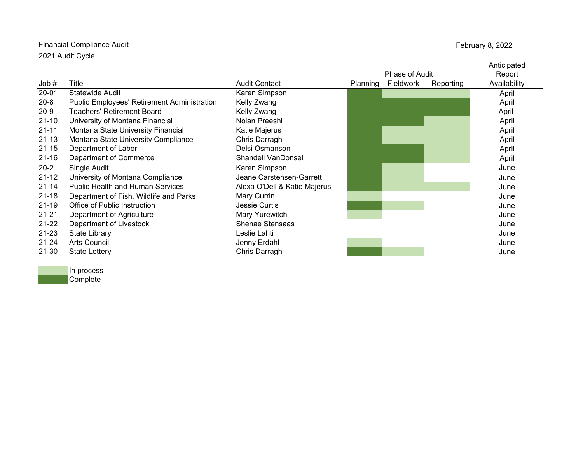## Financial Compliance Audit 2021 Audit Cycle

February 8, 2022

|           |                                             |                              |                |           |           | Anticipated  |
|-----------|---------------------------------------------|------------------------------|----------------|-----------|-----------|--------------|
|           |                                             |                              | Phase of Audit |           |           | Report       |
| Job#      | Title                                       | <b>Audit Contact</b>         | Planning       | Fieldwork | Reporting | Availability |
| $20 - 01$ | <b>Statewide Audit</b>                      | Karen Simpson                |                |           |           | April        |
| $20 - 8$  | Public Employees' Retirement Administration | Kelly Zwang                  |                |           |           | April        |
| $20-9$    | <b>Teachers' Retirement Board</b>           | Kelly Zwang                  |                |           |           | April        |
| $21 - 10$ | University of Montana Financial             | Nolan Preeshl                |                |           |           | April        |
| $21 - 11$ | Montana State University Financial          | Katie Majerus                |                |           |           | April        |
| $21 - 13$ | Montana State University Compliance         | Chris Darragh                |                |           |           | April        |
| $21 - 15$ | Department of Labor                         | Delsi Osmanson               |                |           |           | April        |
| $21 - 16$ | Department of Commerce                      | <b>Shandell VanDonsel</b>    |                |           |           | April        |
| $20 - 2$  | Single Audit                                | Karen Simpson                |                |           |           | June         |
| $21 - 12$ | University of Montana Compliance            | Jeane Carstensen-Garrett     |                |           |           | June         |
| $21 - 14$ | <b>Public Health and Human Services</b>     | Alexa O'Dell & Katie Majerus |                |           |           | June         |
| $21 - 18$ | Department of Fish, Wildlife and Parks      | Mary Currin                  |                |           |           | June         |
| $21 - 19$ | Office of Public Instruction                | Jessie Curtis                |                |           |           | June         |
| $21 - 21$ | Department of Agriculture                   | Mary Yurewitch               |                |           |           | June         |
| $21 - 22$ | Department of Livestock                     | <b>Shenae Stensaas</b>       |                |           |           | June         |
| $21 - 23$ | <b>State Library</b>                        | Leslie Lahti                 |                |           |           | June         |
| $21 - 24$ | <b>Arts Council</b>                         | Jenny Erdahl                 |                |           |           | June         |
| 21-30     | <b>State Lottery</b>                        | Chris Darragh                |                |           |           | June         |

In process Complete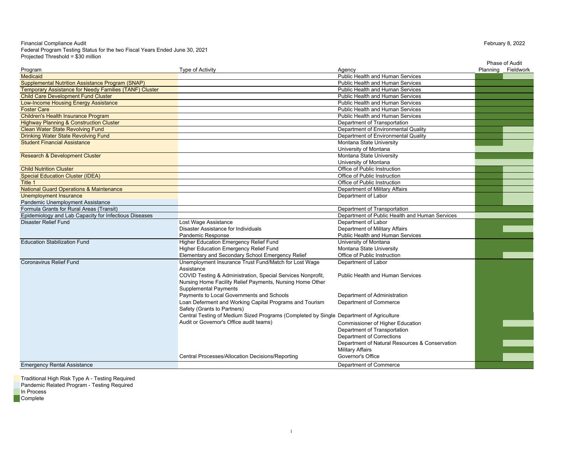## Financial Compliance Audit Federal Program Testing Status for the two Fiscal Years Ended June 30, 2021 Projected Threshold = \$30 million

|                                                         |                                                                                         |                                                                         | Phase of Audit     |
|---------------------------------------------------------|-----------------------------------------------------------------------------------------|-------------------------------------------------------------------------|--------------------|
| Program                                                 | <b>Type of Activity</b>                                                                 | Agency                                                                  | Planning Fieldwork |
| <b>Medicaid</b>                                         |                                                                                         | <b>Public Health and Human Services</b>                                 |                    |
| <b>Supplemental Nutrition Assistance Program (SNAP)</b> |                                                                                         | <b>Public Health and Human Services</b>                                 |                    |
| Temporary Assistance for Needy Families (TANF) Cluster  |                                                                                         | <b>Public Health and Human Services</b>                                 |                    |
| <b>Child Care Development Fund Cluster</b>              |                                                                                         | Public Health and Human Services                                        |                    |
| <b>Low-Income Housing Energy Assistance</b>             |                                                                                         | <b>Public Health and Human Services</b>                                 |                    |
| <b>Foster Care</b>                                      |                                                                                         | <b>Public Health and Human Services</b>                                 |                    |
| <b>Children's Health Insurance Program</b>              |                                                                                         | Public Health and Human Services                                        |                    |
| <b>Highway Planning &amp; Construction Cluster</b>      |                                                                                         | Department of Transportation                                            |                    |
| <b>Clean Water State Revolving Fund</b>                 |                                                                                         | Department of Environmental Quality                                     |                    |
| <b>Drinking Water State Revolving Fund</b>              |                                                                                         | Department of Environmental Quality                                     |                    |
| <b>Student Financial Assistance</b>                     |                                                                                         | Montana State University                                                |                    |
|                                                         |                                                                                         | University of Montana                                                   |                    |
| <b>Research &amp; Development Cluster</b>               |                                                                                         | Montana State University                                                |                    |
|                                                         |                                                                                         | University of Montana                                                   |                    |
| <b>Child Nutrition Cluster</b>                          |                                                                                         | Office of Public Instruction                                            |                    |
| <b>Special Education Cluster (IDEA)</b>                 |                                                                                         | Office of Public Instruction                                            |                    |
| Title 1                                                 |                                                                                         | Office of Public Instruction                                            |                    |
| <b>National Guard Operations &amp; Maintenance</b>      |                                                                                         | Department of Military Affairs                                          |                    |
| <b>Unemployment Insurance</b>                           |                                                                                         | Department of Labor                                                     |                    |
| Pandemic Unemployment Assistance                        |                                                                                         |                                                                         |                    |
| Formula Grants for Rural Areas (Transit)                |                                                                                         | Department of Transportation                                            |                    |
| Epidemiology and Lab Capacity for Infectious Diseases   |                                                                                         | Department of Public Health and Human Services                          |                    |
| Disaster Relief Fund                                    | Lost Wage Assistance                                                                    | Department of Labor                                                     |                    |
|                                                         | Disaster Assistance for Individuals                                                     | Department of Military Affairs                                          |                    |
|                                                         | Pandemic Response                                                                       | Public Health and Human Services                                        |                    |
| <b>Education Stabilization Fund</b>                     | Higher Education Emergency Relief Fund                                                  | University of Montana                                                   |                    |
|                                                         | Higher Education Emergency Relief Fund                                                  | Montana State University                                                |                    |
|                                                         | Elementary and Secondary School Emergency Relief                                        | Office of Public Instruction                                            |                    |
| Coronavirus Relief Fund                                 | Unemployment Insurance Trust Fund/Match for Lost Wage                                   | Department of Labor                                                     |                    |
|                                                         | Assistance                                                                              |                                                                         |                    |
|                                                         | COVID Testing & Administration, Special Services Nonprofit,                             | <b>Public Health and Human Services</b>                                 |                    |
|                                                         | Nursing Home Facility Relief Payments, Nursing Home Other                               |                                                                         |                    |
|                                                         | <b>Supplemental Payments</b>                                                            |                                                                         |                    |
|                                                         | Payments to Local Governments and Schools                                               | Department of Administration                                            |                    |
|                                                         | Loan Deferment and Working Capital Programs and Tourism                                 | Department of Commerce                                                  |                    |
|                                                         | Safety (Grants to Partners)                                                             |                                                                         |                    |
|                                                         | Central Testing of Medium Sized Programs (Completed by Single Department of Agriculture |                                                                         |                    |
|                                                         | Audit or Governor's Office audit teams)                                                 |                                                                         |                    |
|                                                         |                                                                                         | <b>Commissioner of Higher Education</b><br>Department of Transportation |                    |
|                                                         |                                                                                         |                                                                         |                    |
|                                                         |                                                                                         | Department of Corrections                                               |                    |
|                                                         |                                                                                         | Department of Natural Resources & Conservation                          |                    |
|                                                         |                                                                                         | <b>Military Affairs</b>                                                 |                    |
|                                                         | Central Processes/Allocation Decisions/Reporting                                        | Governor's Office                                                       |                    |
| <b>Emergency Rental Assistance</b>                      |                                                                                         | Department of Commerce                                                  |                    |

Traditional High Risk Type A - Testing Required Pandemic Related Program - Testing Required In Process Complete